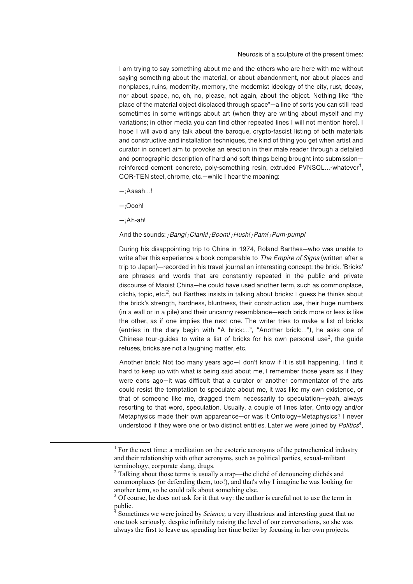Neurosis of a sculpture of the present times:

I am trying to say something about me and the others who are here with me without saying something about the material, or about abandonment, nor about places and nonplaces, ruins, modernity, memory, the modernist ideology of the city, rust, decay, nor about space, no, oh, no, please, not again, about the object. Nothing like "the place of the material object displaced through space"—a line of sorts you can still read sometimes in some writings about art (when they are writing about myself and my variations; in other media you can find other repeated lines I will not mention here). I hope I will avoid any talk about the baroque, crypto-fascist listing of both materials and constructive and installation techniques, the kind of thing you get when artist and curator in concert aim to provoke an erection in their male reader through a detailed and pornographic description of hard and soft things being brought into submission reinforced cement concrete, poly-something resin, extruded PVNSQL...-whatever<sup>1</sup>, COR-TEN steel, chrome, etc.—while I hear the moaning:

 $-iA$ aaah...!

—¡Oooh!

—¡Ah-ah!

<u> 1989 - Johann Stein, marwolaethau a bh</u>

## And the sounds: *¡*Bang! *¡*Clank! *¡*Boom! *¡*Hush! *¡*Pam! *¡*Pum-pump!

During his disappointing trip to China in 1974, Roland Barthes—who was unable to write after this experience a book comparable to *The Empire of Signs* (written after a trip to Japan)—recorded in his travel journal an interesting concept: the brick. 'Bricks' are phrases and words that are constantly repeated in the public and private discourse of Maoist China—he could have used another term, such as commonplace, cliché, topic, etc.<sup>2</sup>, but Barthes insists in talking about bricks: I guess he thinks about the brick's strength, hardness, bluntness, their construction use, their huge numbers (in a wall or in a pile) and their uncanny resemblance—each brick more or less is like the other, as if one implies the next one. The writer tries to make a list of bricks (entries in the diary begin with "A brick:…", "Another brick:…"), he asks one of Chinese tour-quides to write a list of bricks for his own personal use<sup>3</sup>, the quide refuses, bricks are not a laughing matter, etc.

Another brick: Not too many years ago—I don't know if it is still happening, I find it hard to keep up with what is being said about me, I remember those years as if they were eons ago—it was difficult that a curator or another commentator of the arts could resist the temptation to speculate about me, it was like my own existence, or that of someone like me, dragged them necessarily to speculation—yeah, always resorting to that word, speculation. Usually, a couple of lines later, Ontology and/or Metaphysics made their own appareance—or was it Ontology+Metaphysics? I never understood if they were one or two distinct entities. Later we were joined by  $Politics<sup>4</sup>$ ,

 $<sup>1</sup>$  For the next time: a meditation on the esoteric acronyms of the petrochemical industry</sup> and their relationship with other acronyms, such as political parties, sexual-militant terminology, corporate slang, drugs.

<sup>&</sup>lt;sup>2</sup> Talking about those terms is usually a trap—the cliché of denouncing clichés and commonplaces (or defending them, too!), and that's why I imagine he was looking for another term, so he could talk about something else.

 $3$  Of course, he does not ask for it that way: the author is careful not to use the term in public.

<sup>4</sup> Sometimes we were joined by *Science,* a very illustrious and interesting guest that no one took seriously, despite infinitely raising the level of our conversations, so she was always the first to leave us, spending her time better by focusing in her own projects.